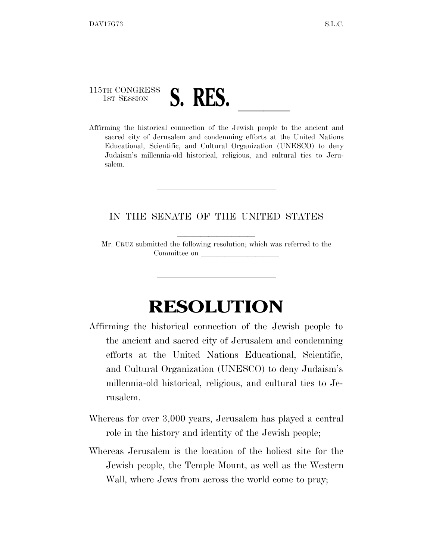## 115TH CONGRESS 1ST SESSION **S. RES. Affirming the historical connection of the Jewish people to the ancient and**

sacred city of Jerusalem and condemning efforts at the United Nations Educational, Scientific, and Cultural Organization (UNESCO) to deny Judaism's millennia-old historical, religious, and cultural ties to Jerusalem.

## IN THE SENATE OF THE UNITED STATES

Mr. CRUZ submitted the following resolution; which was referred to the Committee on

## **RESOLUTION**

- Affirming the historical connection of the Jewish people to the ancient and sacred city of Jerusalem and condemning efforts at the United Nations Educational, Scientific, and Cultural Organization (UNESCO) to deny Judaism's millennia-old historical, religious, and cultural ties to Jerusalem.
- Whereas for over 3,000 years, Jerusalem has played a central role in the history and identity of the Jewish people;
- Whereas Jerusalem is the location of the holiest site for the Jewish people, the Temple Mount, as well as the Western Wall, where Jews from across the world come to pray;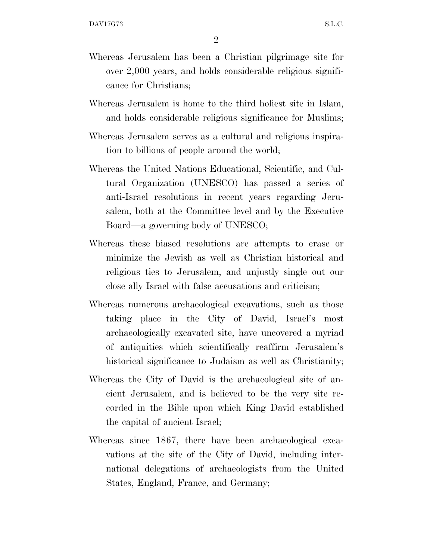- Whereas Jerusalem has been a Christian pilgrimage site for over 2,000 years, and holds considerable religious significance for Christians;
- Whereas Jerusalem is home to the third holiest site in Islam, and holds considerable religious significance for Muslims;
- Whereas Jerusalem serves as a cultural and religious inspiration to billions of people around the world;
- Whereas the United Nations Educational, Scientific, and Cultural Organization (UNESCO) has passed a series of anti-Israel resolutions in recent years regarding Jerusalem, both at the Committee level and by the Executive Board—a governing body of UNESCO;
- Whereas these biased resolutions are attempts to erase or minimize the Jewish as well as Christian historical and religious ties to Jerusalem, and unjustly single out our close ally Israel with false accusations and criticism;
- Whereas numerous archaeological excavations, such as those taking place in the City of David, Israel's most archaeologically excavated site, have uncovered a myriad of antiquities which scientifically reaffirm Jerusalem's historical significance to Judaism as well as Christianity;
- Whereas the City of David is the archaeological site of ancient Jerusalem, and is believed to be the very site recorded in the Bible upon which King David established the capital of ancient Israel;
- Whereas since 1867, there have been archaeological excavations at the site of the City of David, including international delegations of archaeologists from the United States, England, France, and Germany;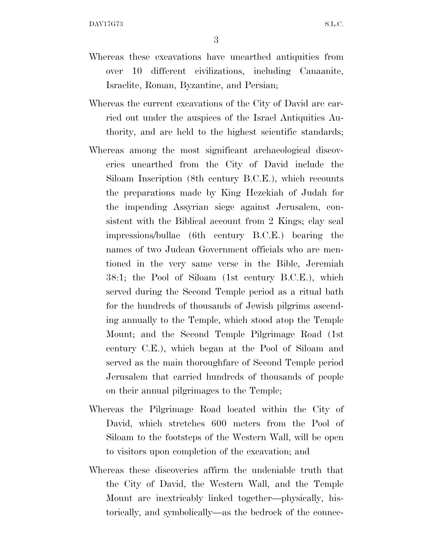3

- Whereas these excavations have unearthed antiquities from over 10 different civilizations, including Canaanite, Israelite, Roman, Byzantine, and Persian;
- Whereas the current excavations of the City of David are carried out under the auspices of the Israel Antiquities Authority, and are held to the highest scientific standards;
- Whereas among the most significant archaeological discoveries unearthed from the City of David include the Siloam Inscription (8th century B.C.E.), which recounts the preparations made by King Hezekiah of Judah for the impending Assyrian siege against Jerusalem, consistent with the Biblical account from 2 Kings; clay seal impressions/bullae (6th century B.C.E.) bearing the names of two Judean Government officials who are mentioned in the very same verse in the Bible, Jeremiah 38:1; the Pool of Siloam (1st century B.C.E.), which served during the Second Temple period as a ritual bath for the hundreds of thousands of Jewish pilgrims ascending annually to the Temple, which stood atop the Temple Mount; and the Second Temple Pilgrimage Road (1st century C.E.), which began at the Pool of Siloam and served as the main thoroughfare of Second Temple period Jerusalem that carried hundreds of thousands of people on their annual pilgrimages to the Temple;
- Whereas the Pilgrimage Road located within the City of David, which stretches 600 meters from the Pool of Siloam to the footsteps of the Western Wall, will be open to visitors upon completion of the excavation; and
- Whereas these discoveries affirm the undeniable truth that the City of David, the Western Wall, and the Temple Mount are inextricably linked together—physically, historically, and symbolically—as the bedrock of the connec-